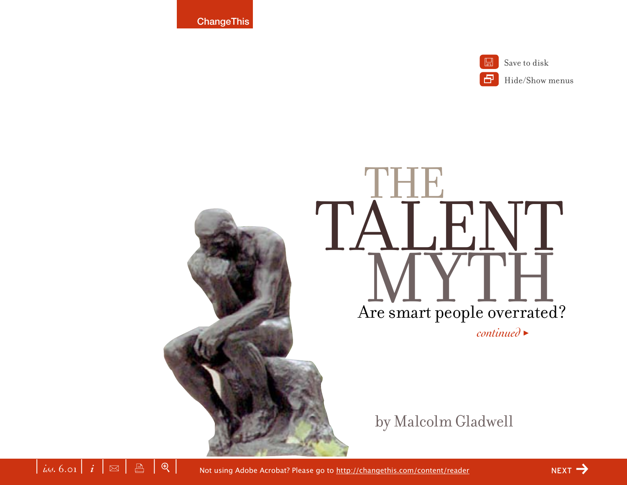**ChangeThis** 



Save to disk

Hide/Show menus

# TALE. THE MYTH. *continued* >

by Malcolm Gladwell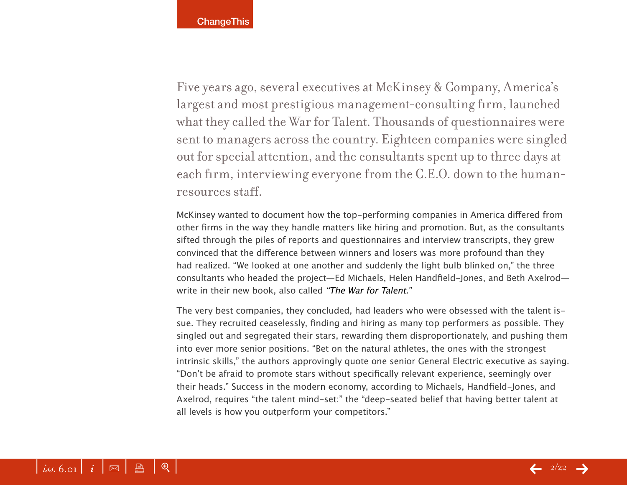Five years ago, several executives at McKinsey & Company, America's largest and most prestigious management-consulting firm, launched what they called the War for Talent. Thousands of questionnaires were sent to managers across the country. Eighteen companies were singled out for special attention, and the consultants spent up to three days at each firm, interviewing everyone from the C.E.O. down to the humanresources staff.

McKinsey wanted to document how the top-performing companies in America differed from other firms in the way they handle matters like hiring and promotion. But, as the consultants sifted through the piles of reports and questionnaires and interview transcripts, they grew convinced that the difference between winners and losers was more profound than they had realized. "We looked at one another and suddenly the light bulb blinked on," the three consultants who headed the project—Ed Michaels, Helen Handfield-Jones, and Beth Axelrod write in their new book, also called "The War for Talent."

The very best companies, they concluded, had leaders who were obsessed with the talent issue. They recruited ceaselessly, finding and hiring as many top performers as possible. They singled out and segregated their stars, rewarding them disproportionately, and pushing them into ever more senior positions. "Bet on the natural athletes, the ones with the strongest intrinsic skills," the authors approvingly quote one senior General Electric executive as saying. "Don't be afraid to promote stars without specifically relevant experience, seemingly over their heads." Success in the modern economy, according to Michaels, Handfield-Jones, and Axelrod, requires "the talent mind-set:" the "deep-seated belief that having better talent at all levels is how you outperform your competitors."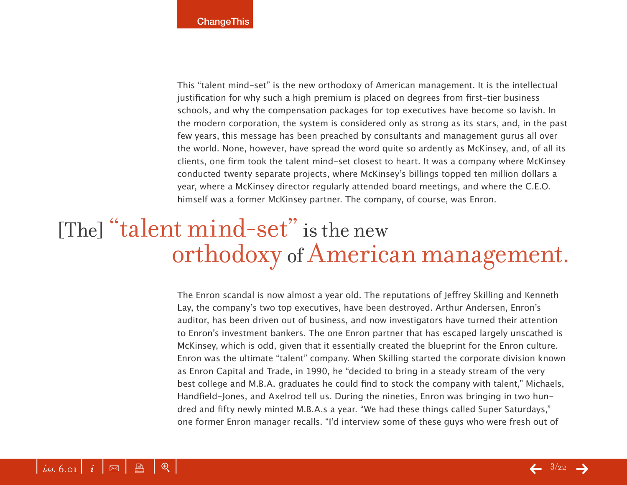This "talent mind-set" is the new orthodoxy of American management. It is the intellectual justification for why such a high premium is placed on degrees from first-tier business schools, and why the compensation packages for top executives have become so lavish. In the modern corporation, the system is considered only as strong as its stars, and, in the past few years, this message has been preached by consultants and management gurus all over the world. None, however, have spread the word quite so ardently as McKinsey, and, of all its clients, one firm took the talent mind-set closest to heart. It was a company where McKinsey conducted twenty separate projects, where McKinsey's billings topped ten million dollars a year, where a McKinsey director regularly attended board meetings, and where the C.E.O. himself was a former McKinsey partner. The company, of course, was Enron.

# [The] "talent mind-set" is the new orthodoxy of American management.

The Enron scandal is now almost a year old. The reputations of Jeffrey Skilling and Kenneth Lay, the company's two top executives, have been destroyed. Arthur Andersen, Enron's auditor, has been driven out of business, and now investigators have turned their attention to Enron's investment bankers. The one Enron partner that has escaped largely unscathed is McKinsey, which is odd, given that it essentially created the blueprint for the Enron culture. Enron was the ultimate "talent" company. When Skilling started the corporate division known as Enron Capital and Trade, in 1990, he "decided to bring in a steady stream of the very best college and M.B.A. graduates he could find to stock the company with talent," Michaels, Handfield-Jones, and Axelrod tell us. During the nineties, Enron was bringing in two hundred and fifty newly minted M.B.A.s a year. "We had these things called Super Saturdays," one former Enron manager recalls. "I'd interview some of these guys who were fresh out of

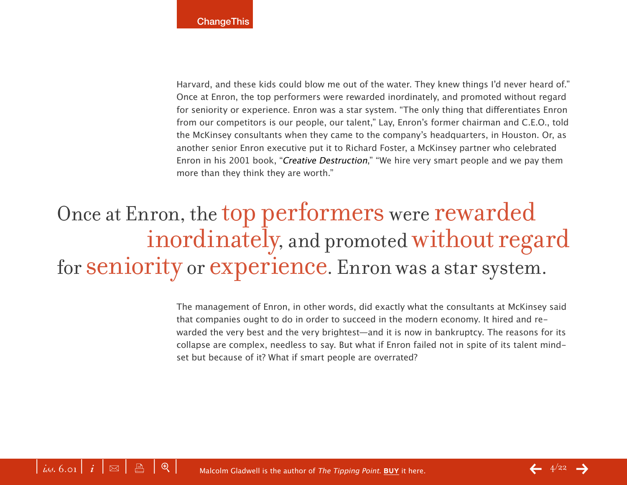Harvard, and these kids could blow me out of the water. They knew things I'd never heard of." Once at Enron, the top performers were rewarded inordinately, and promoted without regard for seniority or experience. Enron was a star system. "The only thing that differentiates Enron from our competitors is our people, our talent," Lay, Enron's former chairman and C.E.O., told the McKinsey consultants when they came to the company's headquarters, in Houston. Or, as another senior Enron executive put it to Richard Foster, a McKinsey partner who celebrated Enron in his 2001 book, "Creative Destruction," "We hire very smart people and we pay them more than they think they are worth."

# Once at Enron, the top performers were rewarded inordinately, and promoted without regard for seniority or experience. Enron was a star system.

The management of Enron, in other words, did exactly what the consultants at McKinsey said that companies ought to do in order to succeed in the modern economy. It hired and rewarded the very best and the very brightest—and it is now in bankruptcy. The reasons for its collapse are complex, needless to say. But what if Enron failed not in spite of its talent mindset but because of it? What if smart people are overrated?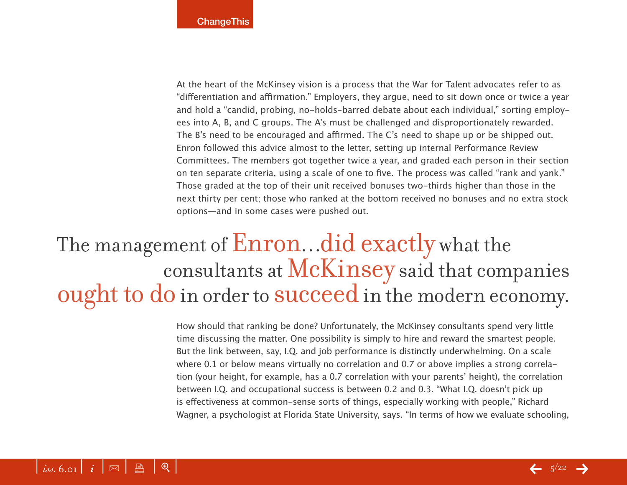At the heart of the McKinsey vision is a process that the War for Talent advocates refer to as "differentiation and affirmation." Employers, they argue, need to sit down once or twice a year and hold a "candid, probing, no-holds-barred debate about each individual," sorting employees into A, B, and C groups. The A's must be challenged and disproportionately rewarded. The B's need to be encouraged and affirmed. The C's need to shape up or be shipped out. Enron followed this advice almost to the letter, setting up internal Performance Review Committees. The members got together twice a year, and graded each person in their section on ten separate criteria, using a scale of one to five. The process was called "rank and yank." Those graded at the top of their unit received bonuses two-thirds higher than those in the next thirty per cent; those who ranked at the bottom received no bonuses and no extra stock options—and in some cases were pushed out.

# The management of Enron…did exactly what the consultants at McKinsey said that companies ought to do in order to succeed in the modern economy.

How should that ranking be done? Unfortunately, the McKinsey consultants spend very little time discussing the matter. One possibility is simply to hire and reward the smartest people. But the link between, say, I.Q. and job performance is distinctly underwhelming. On a scale where 0.1 or below means virtually no correlation and 0.7 or above implies a strong correlation (your height, for example, has a 0.7 correlation with your parents' height), the correlation between I.Q. and occupational success is between 0.2 and 0.3. "What I.Q. doesn't pick up is effectiveness at common-sense sorts of things, especially working with people," Richard Wagner, a psychologist at Florida State University, says. "In terms of how we evaluate schooling,

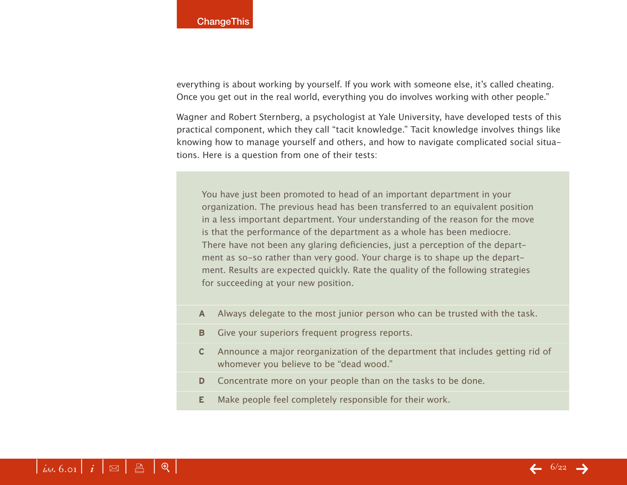everything is about working by yourself. If you work with someone else, it's called cheating. Once you get out in the real world, everything you do involves working with other people."

Wagner and Robert Sternberg, a psychologist at Yale University, have developed tests of this practical component, which they call "tacit knowledge." Tacit knowledge involves things like knowing how to manage yourself and others, and how to navigate complicated social situations. Here is a question from one of their tests:

You have just been promoted to head of an important department in your organization. The previous head has been transferred to an equivalent position in a less important department. Your understanding of the reason for the move is that the performance of the department as a whole has been mediocre. There have not been any glaring deficiencies, just a perception of the department as so-so rather than very good. Your charge is to shape up the department. Results are expected quickly. Rate the quality of the following strategies for succeeding at your new position.

- **A** Always delegate to the most junior person who can be trusted with the task.
- **B** Give your superiors frequent progress reports.
- **C** Announce a major reorganization of the department that includes getting rid of whomever you believe to be "dead wood."
- **D** Concentrate more on your people than on the tasks to be done.
- **E** Make people feel completely responsible for their work.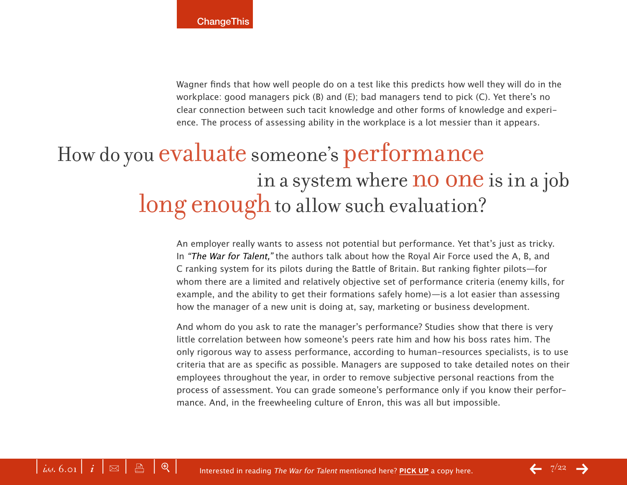Wagner finds that how well people do on a test like this predicts how well they will do in the workplace: good managers pick (B) and (E); bad managers tend to pick (C). Yet there's no clear connection between such tacit knowledge and other forms of knowledge and experience. The process of assessing ability in the workplace is a lot messier than it appears.

# How do you evaluate someone's performance in a system where no one is in a job long enough to allow such evaluation?

An employer really wants to assess not potential but performance. Yet that's just as tricky. In "The War for Talent," the authors talk about how the Royal Air Force used the A, B, and C ranking system for its pilots during the Battle of Britain. But ranking fighter pilots—for whom there are a limited and relatively objective set of performance criteria (enemy kills, for example, and the ability to get their formations safely home)—is a lot easier than assessing how the manager of a new unit is doing at, say, marketing or business development.

And whom do you ask to rate the manager's performance? Studies show that there is very little correlation between how someone's peers rate him and how his boss rates him. The only rigorous way to assess performance, according to human-resources specialists, is to use criteria that are as specific as possible. Managers are supposed to take detailed notes on their employees throughout the year, in order to remove subjective personal reactions from the process of assessment. You can grade someone's performance only if you know their performance. And, in the freewheeling culture of Enron, this was all but impossible.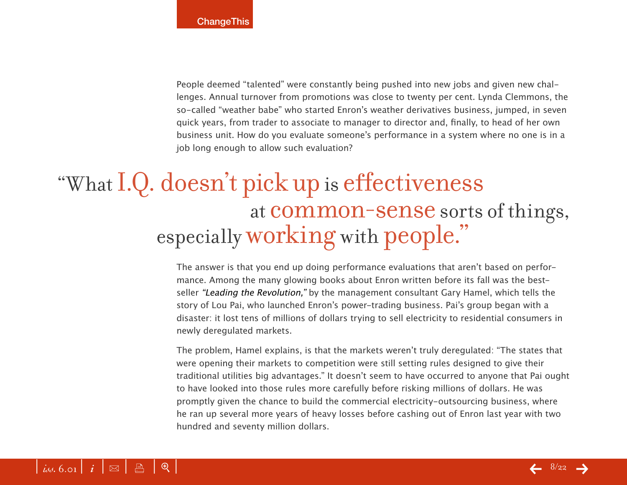People deemed "talented" were constantly being pushed into new jobs and given new challenges. Annual turnover from promotions was close to twenty per cent. Lynda Clemmons, the so-called "weather babe" who started Enron's weather derivatives business, jumped, in seven quick years, from trader to associate to manager to director and, finally, to head of her own business unit. How do you evaluate someone's performance in a system where no one is in a job long enough to allow such evaluation?

# "What I.Q. doesn't pick up is effectiveness at common-sense sorts of things, especially working with people."

The answer is that you end up doing performance evaluations that aren't based on performance. Among the many glowing books about Enron written before its fall was the bestseller "Leading the Revolution," by the management consultant Gary Hamel, which tells the story of Lou Pai, who launched Enron's power-trading business. Pai's group began with a disaster: it lost tens of millions of dollars trying to sell electricity to residential consumers in newly deregulated markets.

The problem, Hamel explains, is that the markets weren't truly deregulated: "The states that were opening their markets to competition were still setting rules designed to give their traditional utilities big advantages." It doesn't seem to have occurred to anyone that Pai ought to have looked into those rules more carefully before risking millions of dollars. He was promptly given the chance to build the commercial electricity-outsourcing business, where he ran up several more years of heavy losses before cashing out of Enron last year with two hundred and seventy million dollars.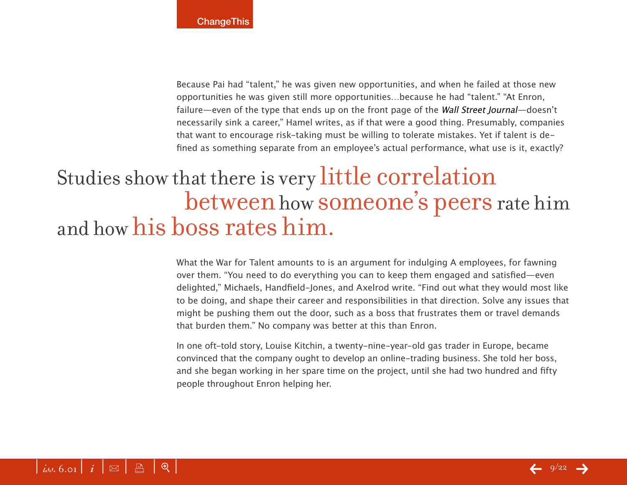Because Pai had "talent," he was given new opportunities, and when he failed at those new opportunities he was given still more opportunities…because he had "talent." "At Enron, failure—even of the type that ends up on the front page of the Wall Street Journal—doesn't necessarily sink a career," Hamel writes, as if that were a good thing. Presumably, companies that want to encourage risk-taking must be willing to tolerate mistakes. Yet if talent is defined as something separate from an employee's actual performance, what use is it, exactly?

# Studies show that there is very little correlation between how someone's peers rate him and how his boss rates him.

What the War for Talent amounts to is an argument for indulging A employees, for fawning over them. "You need to do everything you can to keep them engaged and satisfied—even delighted," Michaels, Handfield-Jones, and Axelrod write. "Find out what they would most like to be doing, and shape their career and responsibilities in that direction. Solve any issues that might be pushing them out the door, such as a boss that frustrates them or travel demands that burden them." No company was better at this than Enron.

In one oft-told story, Louise Kitchin, a twenty-nine-year-old gas trader in Europe, became convinced that the company ought to develop an online-trading business. She told her boss, and she began working in her spare time on the project, until she had two hundred and fifty people throughout Enron helping her.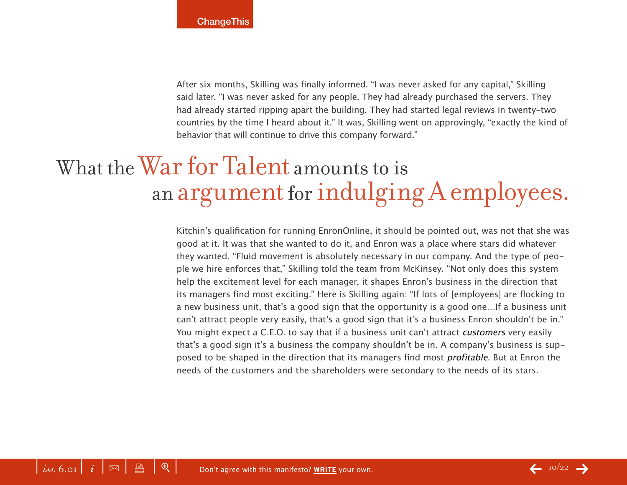After six months, Skilling was finally informed. "I was never asked for any capital," Skilling said later. "I was never asked for any people. They had already purchased the servers. They had already started ripping apart the building. They had started legal reviews in twenty-two countries by the time I heard about it." It was, Skilling went on approvingly, "exactly the kind of behavior that will continue to drive this company forward."

# What the War for Talent amounts to is an argument for indulging A employees.

Kitchin's qualification for running EnronOnline, it should be pointed out, was not that she was good at it. It was that she wanted to do it, and Enron was a place where stars did whatever they wanted. "Fluid movement is absolutely necessary in our company. And the type of people we hire enforces that," Skilling told the team from McKinsey. "Not only does this system help the excitement level for each manager, it shapes Enron's business in the direction that its managers find most exciting." Here is Skilling again: "If lots of [employees] are flocking to a new business unit, that's a good sign that the opportunity is a good one…If a business unit can't attract people very easily, that's a good sign that it's a business Enron shouldn't be in." You might expect a C.E.O. to say that if a business unit can't attract *customers* very easily that's a good sign it's a business the company shouldn't be in. A company's business is supposed to be shaped in the direction that its managers find most *profitable*. But at Enron the needs of the customers and the shareholders were secondary to the needs of its stars.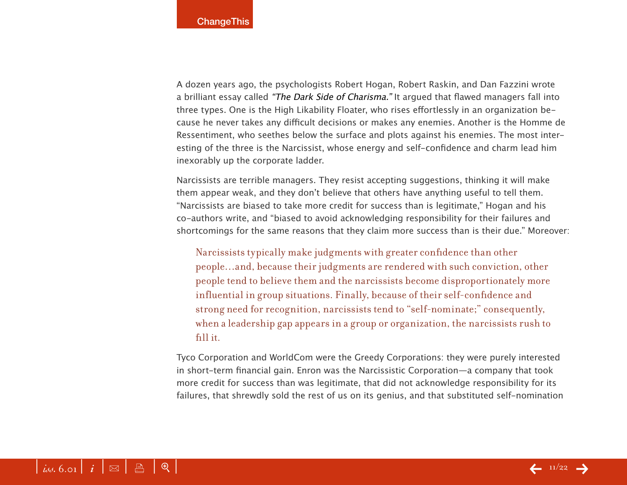A dozen years ago, the psychologists Robert Hogan, Robert Raskin, and Dan Fazzini wrote a brilliant essay called "The Dark Side of Charisma." It argued that flawed managers fall into three types. One is the High Likability Floater, who rises effortlessly in an organization because he never takes any difficult decisions or makes any enemies. Another is the Homme de Ressentiment, who seethes below the surface and plots against his enemies. The most interesting of the three is the Narcissist, whose energy and self-confidence and charm lead him inexorably up the corporate ladder.

Narcissists are terrible managers. They resist accepting suggestions, thinking it will make them appear weak, and they don't believe that others have anything useful to tell them. "Narcissists are biased to take more credit for success than is legitimate," Hogan and his co-authors write, and "biased to avoid acknowledging responsibility for their failures and shortcomings for the same reasons that they claim more success than is their due." Moreover:

Narcissists typically make judgments with greater confidence than other people…and, because their judgments are rendered with such conviction, other people tend to believe them and the narcissists become disproportionately more influential in group situations. Finally, because of their self-confidence and strong need for recognition, narcissists tend to "self-nominate;" consequently, when a leadership gap appears in a group or organization, the narcissists rush to fill it.

Tyco Corporation and WorldCom were the Greedy Corporations: they were purely interested in short-term financial gain. Enron was the Narcissistic Corporation—a company that took more credit for success than was legitimate, that did not acknowledge responsibility for its failures, that shrewdly sold the rest of us on its genius, and that substituted self-nomination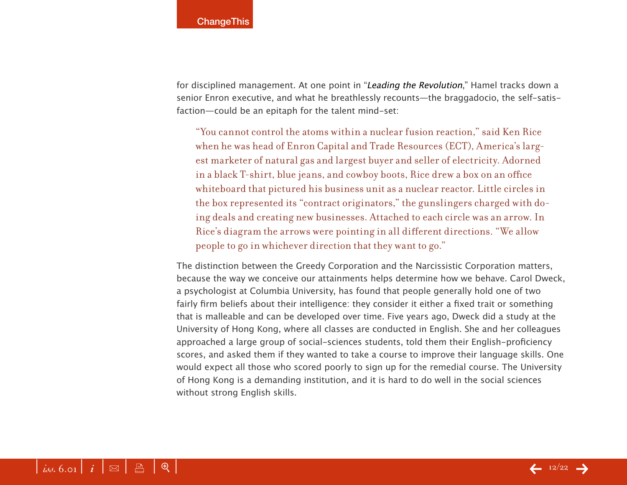for disciplined management. At one point in "Leading the Revolution," Hamel tracks down a senior Enron executive, and what he breathlessly recounts—the braggadocio, the self-satisfaction—could be an epitaph for the talent mind-set:

"You cannot control the atoms within a nuclear fusion reaction," said Ken Rice when he was head of Enron Capital and Trade Resources (ECT), America's largest marketer of natural gas and largest buyer and seller of electricity. Adorned in a black T-shirt, blue jeans, and cowboy boots, Rice drew a box on an office whiteboard that pictured his business unit as a nuclear reactor. Little circles in the box represented its "contract originators," the gunslingers charged with doing deals and creating new businesses. Attached to each circle was an arrow. In Rice's diagram the arrows were pointing in all different directions. "We allow people to go in whichever direction that they want to go."

The distinction between the Greedy Corporation and the Narcissistic Corporation matters, because the way we conceive our attainments helps determine how we behave. Carol Dweck, a psychologist at Columbia University, has found that people generally hold one of two fairly firm beliefs about their intelligence: they consider it either a fixed trait or something that is malleable and can be developed over time. Five years ago, Dweck did a study at the University of Hong Kong, where all classes are conducted in English. She and her colleagues approached a large group of social-sciences students, told them their English-proficiency scores, and asked them if they wanted to take a course to improve their language skills. One would expect all those who scored poorly to sign up for the remedial course. The University of Hong Kong is a demanding institution, and it is hard to do well in the social sciences without strong English skills.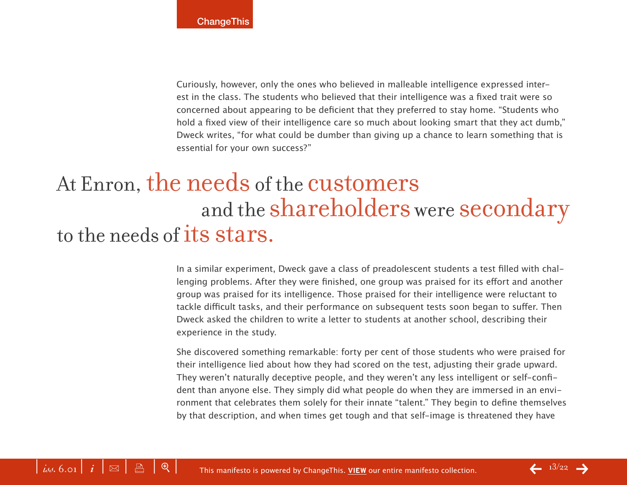Curiously, however, only the ones who believed in malleable intelligence expressed interest in the class. The students who believed that their intelligence was a fixed trait were so concerned about appearing to be deficient that they preferred to stay home. "Students who hold a fixed view of their intelligence care so much about looking smart that they act dumb," Dweck writes, "for what could be dumber than giving up a chance to learn something that is essential for your own success?"

## At Enron, the needs of the customers and the shareholders were secondary to the needs of its stars.

In a similar experiment, Dweck gave a class of preadolescent students a test filled with challenging problems. After they were finished, one group was praised for its effort and another group was praised for its intelligence. Those praised for their intelligence were reluctant to tackle difficult tasks, and their performance on subsequent tests soon began to suffer. Then Dweck asked the children to write a letter to students at another school, describing their experience in the study.

She discovered something remarkable: forty per cent of those students who were praised for their intelligence lied about how they had scored on the test, adjusting their grade upward. They weren't naturally deceptive people, and they weren't any less intelligent or self-confident than anyone else. They simply did what people do when they are immersed in an environment that celebrates them solely for their innate "talent." They begin to define themselves by that description, and when times get tough and that self-image is threatened they have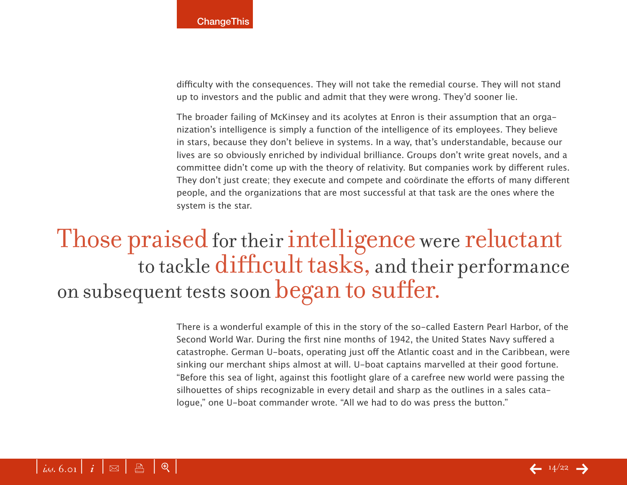difficulty with the consequences. They will not take the remedial course. They will not stand up to investors and the public and admit that they were wrong. They'd sooner lie.

The broader failing of McKinsey and its acolytes at Enron is their assumption that an organization's intelligence is simply a function of the intelligence of its employees. They believe in stars, because they don't believe in systems. In a way, that's understandable, because our lives are so obviously enriched by individual brilliance. Groups don't write great novels, and a committee didn't come up with the theory of relativity. But companies work by different rules. They don't just create; they execute and compete and coördinate the efforts of many different people, and the organizations that are most successful at that task are the ones where the system is the star.

# Those praised for their intelligence were reluctant to tackle difficult tasks, and their performance on subsequent tests soon began to suffer.

There is a wonderful example of this in the story of the so-called Eastern Pearl Harbor, of the Second World War. During the first nine months of 1942, the United States Navy suffered a catastrophe. German U-boats, operating just off the Atlantic coast and in the Caribbean, were sinking our merchant ships almost at will. U-boat captains marvelled at their good fortune. "Before this sea of light, against this footlight glare of a carefree new world were passing the silhouettes of ships recognizable in every detail and sharp as the outlines in a sales catalogue," one U-boat commander wrote. "All we had to do was press the button."

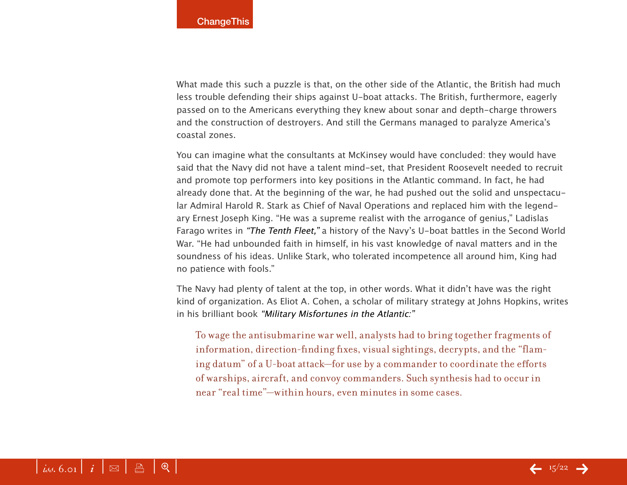What made this such a puzzle is that, on the other side of the Atlantic, the British had much less trouble defending their ships against U-boat attacks. The British, furthermore, eagerly passed on to the Americans everything they knew about sonar and depth-charge throwers and the construction of destroyers. And still the Germans managed to paralyze America's coastal zones.

You can imagine what the consultants at McKinsey would have concluded: they would have said that the Navy did not have a talent mind-set, that President Roosevelt needed to recruit and promote top performers into key positions in the Atlantic command. In fact, he had already done that. At the beginning of the war, he had pushed out the solid and unspectacular Admiral Harold R. Stark as Chief of Naval Operations and replaced him with the legendary Ernest Joseph King. "He was a supreme realist with the arrogance of genius," Ladislas Farago writes in "The Tenth Fleet," a history of the Navy's U-boat battles in the Second World War. "He had unbounded faith in himself, in his vast knowledge of naval matters and in the soundness of his ideas. Unlike Stark, who tolerated incompetence all around him, King had no patience with fools."

The Navy had plenty of talent at the top, in other words. What it didn't have was the right kind of organization. As Eliot A. Cohen, a scholar of military strategy at Johns Hopkins, writes in his brilliant book "Military Misfortunes in the Atlantic:"

To wage the antisubmarine war well, analysts had to bring together fragments of information, direction-finding fixes, visual sightings, decrypts, and the "flaming datum" of a U-boat attack—for use by a commander to coordinate the efforts of warships, aircraft, and convoy commanders. Such synthesis had to occur in near "real time"—within hours, even minutes in some cases.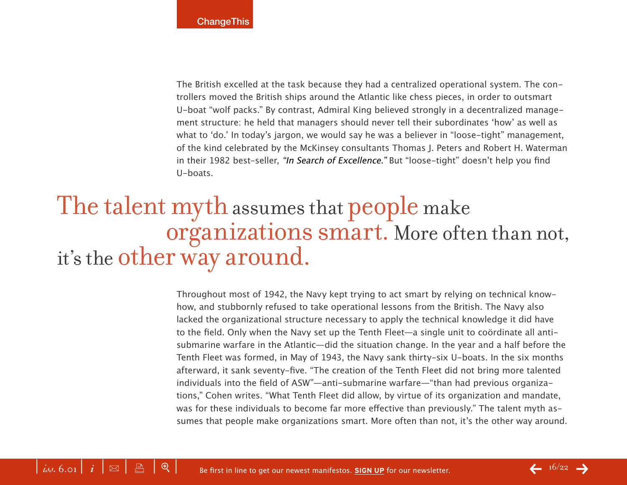The British excelled at the task because they had a centralized operational system. The controllers moved the British ships around the Atlantic like chess pieces, in order to outsmart U-boat "wolf packs." By contrast, Admiral King believed strongly in a decentralized management structure: he held that managers should never tell their subordinates ʻhow' as well as what to ʻdo.' In today's jargon, we would say he was a believer in "loose-tight" management, of the kind celebrated by the McKinsey consultants Thomas J. Peters and Robert H. Waterman in their 1982 best-seller, "In Search of Excellence." But "loose-tight" doesn't help you find U-boats.

# The talent myth assumes that people make organizations smart. More often than not, it's the other way around.

Throughout most of 1942, the Navy kept trying to act smart by relying on technical knowhow, and stubbornly refused to take operational lessons from the British. The Navy also lacked the organizational structure necessary to apply the technical knowledge it did have to the field. Only when the Navy set up the Tenth Fleet—a single unit to coördinate all antisubmarine warfare in the Atlantic—did the situation change. In the year and a half before the Tenth Fleet was formed, in May of 1943, the Navy sank thirty-six U-boats. In the six months afterward, it sank seventy-five. "The creation of the Tenth Fleet did not bring more talented individuals into the field of ASW"—anti-submarine warfare—"than had previous organizations," Cohen writes. "What Tenth Fleet did allow, by virtue of its organization and mandate, was for these individuals to become far more effective than previously." The talent myth assumes that people make organizations smart. More often than not, it's the other way around.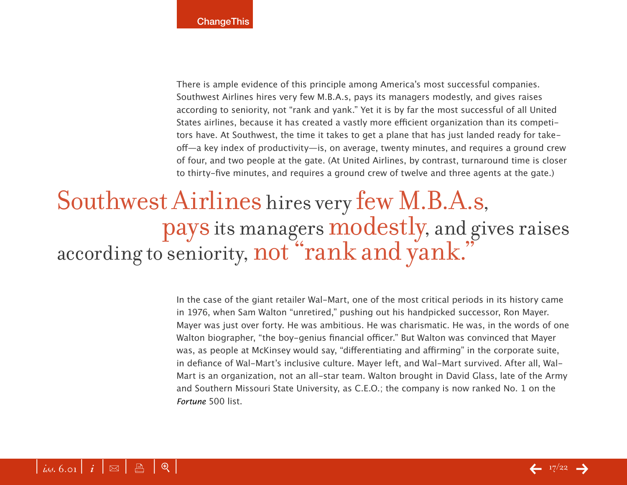There is ample evidence of this principle among America's most successful companies. Southwest Airlines hires very few M.B.A.s, pays its managers modestly, and gives raises according to seniority, not "rank and yank." Yet it is by far the most successful of all United States airlines, because it has created a vastly more efficient organization than its competitors have. At Southwest, the time it takes to get a plane that has just landed ready for takeoff—a key index of productivity—is, on average, twenty minutes, and requires a ground crew of four, and two people at the gate. (At United Airlines, by contrast, turnaround time is closer to thirty-five minutes, and requires a ground crew of twelve and three agents at the gate.)

# Southwest Airlines hires very few M.B.A.s, pays its managers modestly, and gives raises according to seniority, not "rank and yank."

In the case of the giant retailer Wal-Mart, one of the most critical periods in its history came in 1976, when Sam Walton "unretired," pushing out his handpicked successor, Ron Mayer. Mayer was just over forty. He was ambitious. He was charismatic. He was, in the words of one Walton biographer, "the boy-genius financial officer." But Walton was convinced that Mayer was, as people at McKinsey would say, "differentiating and affirming" in the corporate suite, in defiance of Wal-Mart's inclusive culture. Mayer left, and Wal-Mart survived. After all, Wal-Mart is an organization, not an all-star team. Walton brought in David Glass, late of the Army and Southern Missouri State University, as C.E.O.; the company is now ranked No. 1 on the Fortune 500 list.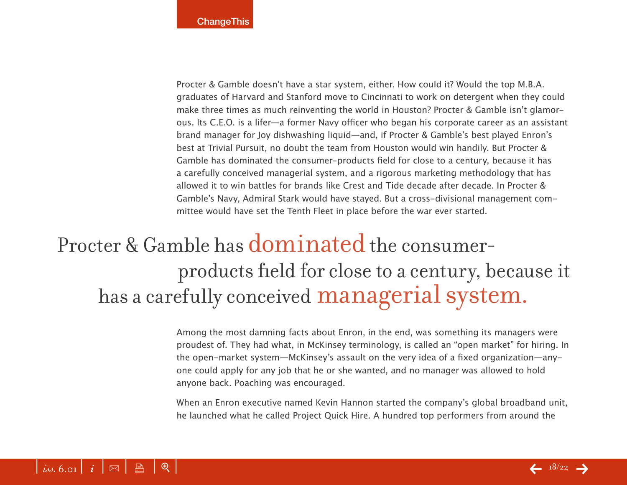Procter & Gamble doesn't have a star system, either. How could it? Would the top M.B.A. graduates of Harvard and Stanford move to Cincinnati to work on detergent when they could make three times as much reinventing the world in Houston? Procter & Gamble isn't glamorous. Its C.E.O. is a lifer—a former Navy officer who began his corporate career as an assistant brand manager for Joy dishwashing liquid—and, if Procter & Gamble's best played Enron's best at Trivial Pursuit, no doubt the team from Houston would win handily. But Procter & Gamble has dominated the consumer-products field for close to a century, because it has a carefully conceived managerial system, and a rigorous marketing methodology that has allowed it to win battles for brands like Crest and Tide decade after decade. In Procter & Gamble's Navy, Admiral Stark would have stayed. But a cross-divisional management committee would have set the Tenth Fleet in place before the war ever started.

# Procter & Gamble has dominated the consumerproducts field for close to a century, because it has a carefully conceived managerial system.

Among the most damning facts about Enron, in the end, was something its managers were proudest of. They had what, in McKinsey terminology, is called an "open market" for hiring. In the open-market system—McKinsey's assault on the very idea of a fixed organization—anyone could apply for any job that he or she wanted, and no manager was allowed to hold anyone back. Poaching was encouraged.

When an Enron executive named Kevin Hannon started the company's global broadband unit, he launched what he called Project Quick Hire. A hundred top performers from around the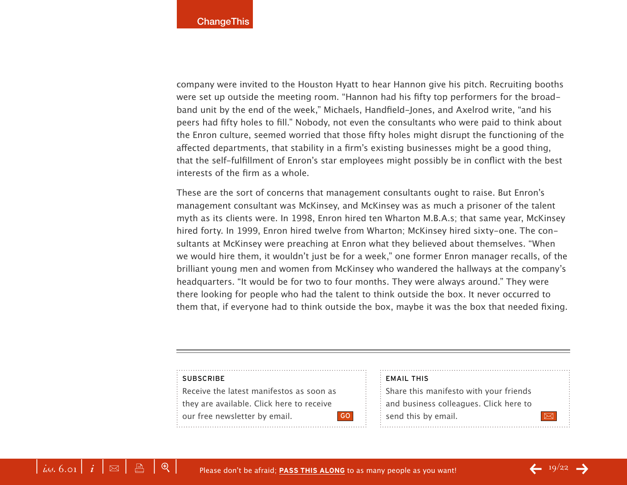company were invited to the Houston Hyatt to hear Hannon give his pitch. Recruiting booths were set up outside the meeting room. "Hannon had his fifty top performers for the broadband unit by the end of the week," Michaels, Handfield-Jones, and Axelrod write, "and his peers had fifty holes to fill." Nobody, not even the consultants who were paid to think about the Enron culture, seemed worried that those fifty holes might disrupt the functioning of the affected departments, that stability in a firm's existing businesses might be a good thing, that the self-fulfillment of Enron's star employees might possibly be in conflict with the best interests of the firm as a whole.

These are the sort of concerns that management consultants ought to raise. But Enron's management consultant was McKinsey, and McKinsey was as much a prisoner of the talent myth as its clients were. In 1998, Enron hired ten Wharton M.B.A.s; that same year, McKinsey hired forty. In 1999, Enron hired twelve from Wharton; McKinsey hired sixty-one. The consultants at McKinsey were preaching at Enron what they believed about themselves. "When we would hire them, it wouldn't just be for a week," one former Enron manager recalls, of the brilliant young men and women from McKinsey who wandered the hallways at the company's headquarters. "It would be for two to four months. They were always around." They were there looking for people who had the talent to think outside the box. It never occurred to them that, if everyone had to think outside the box, maybe it was the box that needed fixing.

#### **SUBSCRIBE**

Receive the latest manifestos as soon as they are available. Click here to receive our free newsletter by email. GO

#### EMAIL THIS

Share this manifesto with your friends and business colleagues. Click here to send this by email.

 $\boxtimes$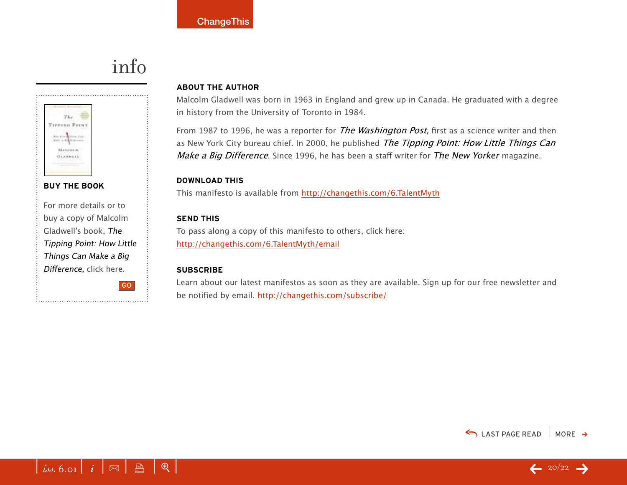### info



### **BUY THE BOOK**

For more details or to buy a copy of Malcolm Gladwell's book, The Tipping Point: How Little Things Can Make a Big Difference, click here.

GO

### **ABOUT THE AUTHOR**

Malcolm Gladwell was born in 1963 in England and grew up in Canada. He graduated with a degree in history from the University of Toronto in 1984.

From 1987 to 1996, he was a reporter for *The Washington Post*, first as a science writer and then as New York City bureau chief. In 2000, he published The Tipping Point: How Little Things Can Make a Big Difference. Since 1996, he has been a staff writer for The New Yorker magazine.

### **DOWNLOAD THIS**

This manifesto is available from <http://changethis.com/6.TalentMyth>

### **SEND THIS**

To pass along a copy of this manifesto to others, click here: <http://changethis.com/6.TalentMyth/email>

### **SUBSCRIBE**

Learn about our latest manifestos as soon as they are available. Sign up for our free newsletter and be notified by email.<http://changethis.com/subscribe/>



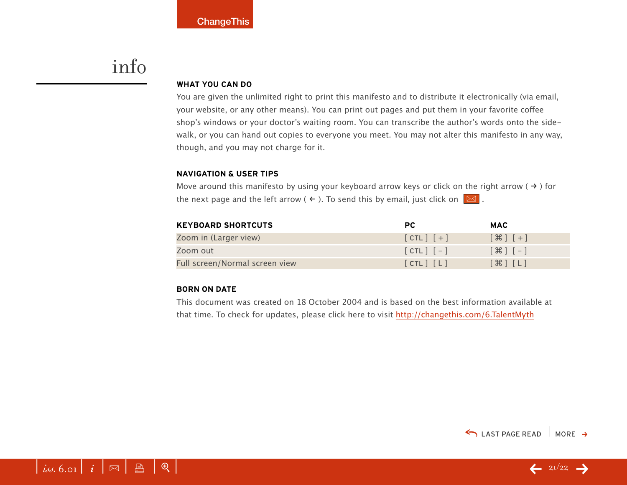### info

### **WHAT YOU CAN DO**

You are given the unlimited right to print this manifesto and to distribute it electronically (via email, your website, or any other means). You can print out pages and put them in your favorite coffee shop's windows or your doctor's waiting room. You can transcribe the author's words onto the sidewalk, or you can hand out copies to everyone you meet. You may not alter this manifesto in any way, though, and you may not charge for it.

### **NAVIGATION & USER TIPS**

Move around this manifesto by using your keyboard arrow keys or click on the right arrow ( $\rightarrow$ ) for the next page and the left arrow (  $\leftarrow$  ). To send this by email, just click on  $\boxed{\boxtimes}$  .

| <b>KEYBOARD SHORTCUTS</b>      | PC.           | <b>MAC</b>                                                    |
|--------------------------------|---------------|---------------------------------------------------------------|
| Zoom in (Larger view)          | $[CIL]$ $[+]$ | $[$ $\frac{1}{2}$ $[$ $\frac{1}{2}$ $]$ $[$ $\frac{1}{2}$ $]$ |
| Zoom out                       | $[CHL]$ $[-]$ | $[$ $\mathcal{H}$ $]$ $[-]$                                   |
| Full screen/Normal screen view | [CHL] [L]     | $[$ $\mathcal{H}$ $]$ $[$ $\mathsf{L}$ $]$                    |

#### **BORN ON DATE**

This document was created on 18 October 2004 and is based on the best information available at that time. To check for updates, please click here to [visit http://changethis.com/6.TalentM](http://changethis.com/6.TalentMyth)yth